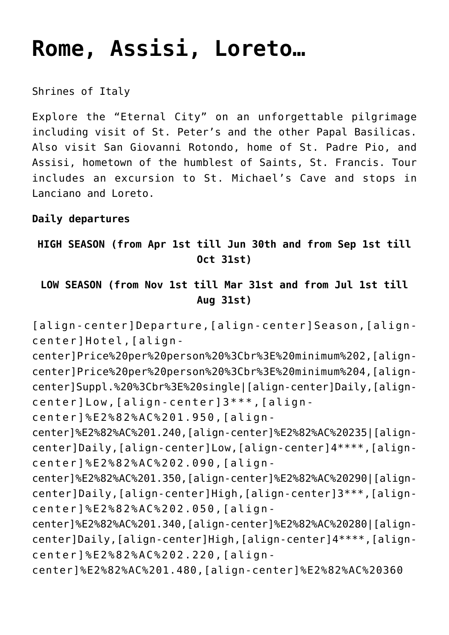# **[Rome, Assisi, Loreto…](https://rusconiviaggi.com/tour-item/7-days-private-pilgrimage-to-rome-san-giovanni-rotondo-and-assisi/)**

Shrines of Italy

Explore the "Eternal City" on an unforgettable pilgrimage including visit of St. Peter's and the other Papal Basilicas. Also visit San Giovanni Rotondo, home of St. Padre Pio, and Assisi, hometown of the humblest of Saints, St. Francis. Tour includes an excursion to St. Michael's Cave and stops in Lanciano and Loreto.

#### **Daily departures**

**HIGH SEASON (from Apr 1st till Jun 30th and from Sep 1st till Oct 31st)**

## **LOW SEASON (from Nov 1st till Mar 31st and from Jul 1st till Aug 31st)**

[align-center]Departure, [align-center]Season, [aligncenter]Hotel,[align-

center]Price%20per%20person%20%3Cbr%3E%20minimum%202,[aligncenter]Price%20per%20person%20%3Cbr%3E%20minimum%204,[aligncenter]Suppl.%20%3Cbr%3E%20single|[align-center]Daily,[aligncenter]Low,[align-center]3\*\*\*,[align-

center]%E2%82%AC%201.950,[align-

center]%E2%82%AC%201.240,[align-center]%E2%82%AC%20235|[aligncenter]Daily,[align-center]Low,[align-center]4\*\*\*\*,[aligncenter]%E2%82%AC%202.090,[align-

center]%E2%82%AC%201.350,[align-center]%E2%82%AC%20290|[aligncenter]Daily,[align-center]High,[align-center]3\*\*\*,[aligncenter]%E2%82%AC%202.050,[align-

center]%E2%82%AC%201.340,[align-center]%E2%82%AC%20280|[aligncenter]Daily,[align-center]High,[align-center]4\*\*\*\*,[aligncenter]%E2%82%AC%202.220,[align-

center]%E2%82%AC%201.480,[align-center]%E2%82%AC%20360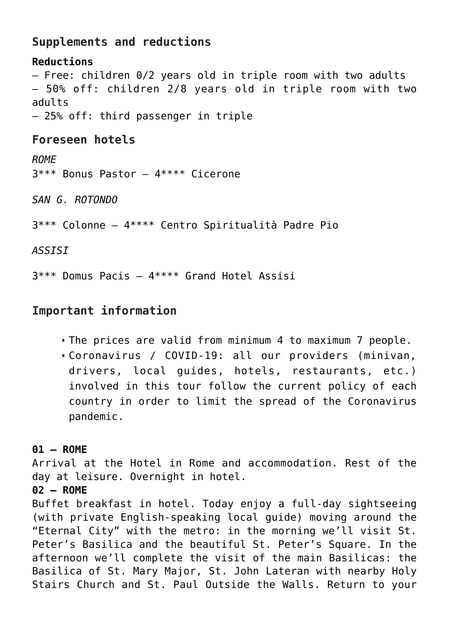# **Supplements and reductions**

**Reductions** – Free: children 0/2 years old in triple room with two adults – 50% off: children 2/8 years old in triple room with two adults – 25% off: third passenger in triple

# **Foreseen hotels**

*ROME* 3\*\*\* Bonus Pastor – 4\*\*\*\* Cicerone

*SAN G. ROTONDO*

3\*\*\* Colonne – 4\*\*\*\* Centro Spiritualità Padre Pio

*ASSISI*

3\*\*\* Domus Pacis – 4\*\*\*\* Grand Hotel Assisi

## **Important information**

- The prices are valid from minimum 4 to maximum 7 people.
- Coronavirus / COVID-19: all our providers (minivan, drivers, local guides, hotels, restaurants, etc.) involved in this tour follow the current policy of each country in order to limit the spread of the Coronavirus pandemic.

## **01 – ROME**

Arrival at the Hotel in Rome and accommodation. Rest of the day at leisure. Overnight in hotel.

#### **02 – ROME**

Buffet breakfast in hotel. Today enjoy a full-day sightseeing (with private English-speaking local guide) moving around the "Eternal City" with the metro: in the morning we'll visit St. Peter's Basilica and the beautiful St. Peter's Square. In the afternoon we'll complete the visit of the main Basilicas: the Basilica of St. Mary Major, St. John Lateran with nearby Holy Stairs Church and St. Paul Outside the Walls. Return to your